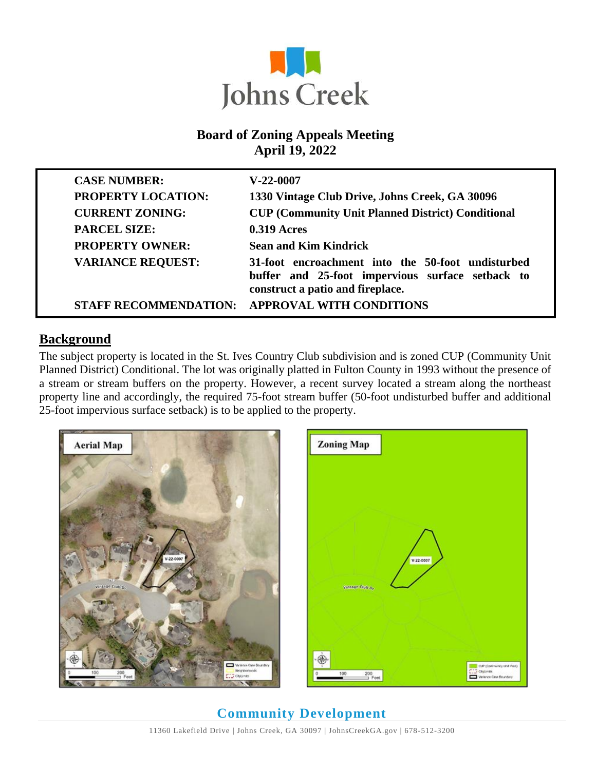

### **Board of Zoning Appeals Meeting April 19, 2022**

| <b>CASE NUMBER:</b>          | $V-22-0007$                                                                                                                               |
|------------------------------|-------------------------------------------------------------------------------------------------------------------------------------------|
| <b>PROPERTY LOCATION:</b>    | 1330 Vintage Club Drive, Johns Creek, GA 30096                                                                                            |
| <b>CURRENT ZONING:</b>       | <b>CUP (Community Unit Planned District) Conditional</b>                                                                                  |
| <b>PARCEL SIZE:</b>          | $0.319$ Acres                                                                                                                             |
| <b>PROPERTY OWNER:</b>       | <b>Sean and Kim Kindrick</b>                                                                                                              |
| <b>VARIANCE REQUEST:</b>     | 31-foot encroachment into the 50-foot undisturbed<br>buffer and 25-foot impervious surface setback to<br>construct a patio and fireplace. |
| <b>STAFF RECOMMENDATION:</b> | <b>APPROVAL WITH CONDITIONS</b>                                                                                                           |

### **Background**

The subject property is located in the St. Ives Country Club subdivision and is zoned CUP (Community Unit Planned District) Conditional. The lot was originally platted in Fulton County in 1993 without the presence of a stream or stream buffers on the property. However, a recent survey located a stream along the northeast property line and accordingly, the required 75-foot stream buffer (50-foot undisturbed buffer and additional 25-foot impervious surface setback) is to be applied to the property.



# CUP (Community Unit Plan

# **Community Development**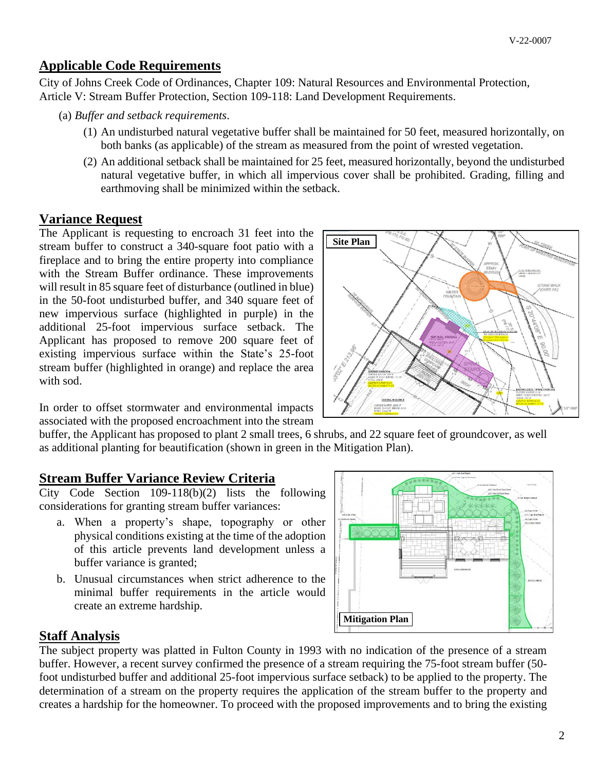### **Applicable Code Requirements**

City of Johns Creek Code of Ordinances, Chapter 109: Natural Resources and Environmental Protection, Article V: Stream Buffer Protection, Section 109-118: Land Development Requirements.

- (a) *Buffer and setback requirements*.
	- (1) An undisturbed natural vegetative buffer shall be maintained for 50 feet, measured horizontally, on both banks (as applicable) of the stream as measured from the point of wrested vegetation.
	- (2) An additional setback shall be maintained for 25 feet, measured horizontally, beyond the undisturbed natural vegetative buffer, in which all impervious cover shall be prohibited. Grading, filling and earthmoving shall be minimized within the setback.

### **Variance Request**

The Applicant is requesting to encroach 31 feet into the stream buffer to construct a 340-square foot patio with a fireplace and to bring the entire property into compliance with the Stream Buffer ordinance. These improvements will result in 85 square feet of disturbance (outlined in blue) in the 50-foot undisturbed buffer, and 340 square feet of new impervious surface (highlighted in purple) in the additional 25-foot impervious surface setback. The Applicant has proposed to remove 200 square feet of existing impervious surface within the State's 25-foot stream buffer (highlighted in orange) and replace the area with sod.

In order to offset stormwater and environmental impacts associated with the proposed encroachment into the stream

buffer, the Applicant has proposed to plant 2 small trees, 6 shrubs, and 22 square feet of groundcover, as well as additional planting for beautification (shown in green in the Mitigation Plan).

### **Stream Buffer Variance Review Criteria**

City Code Section 109-118(b)(2) lists the following considerations for granting stream buffer variances:

- a. When a property's shape, topography or other physical conditions existing at the time of the adoption of this article prevents land development unless a buffer variance is granted;
- b. Unusual circumstances when strict adherence to the minimal buffer requirements in the article would create an extreme hardship.



### **Staff Analysis**

The subject property was platted in Fulton County in 1993 with no indication of the presence of a stream buffer. However, a recent survey confirmed the presence of a stream requiring the 75-foot stream buffer (50 foot undisturbed buffer and additional 25-foot impervious surface setback) to be applied to the property. The determination of a stream on the property requires the application of the stream buffer to the property and creates a hardship for the homeowner. To proceed with the proposed improvements and to bring the existing